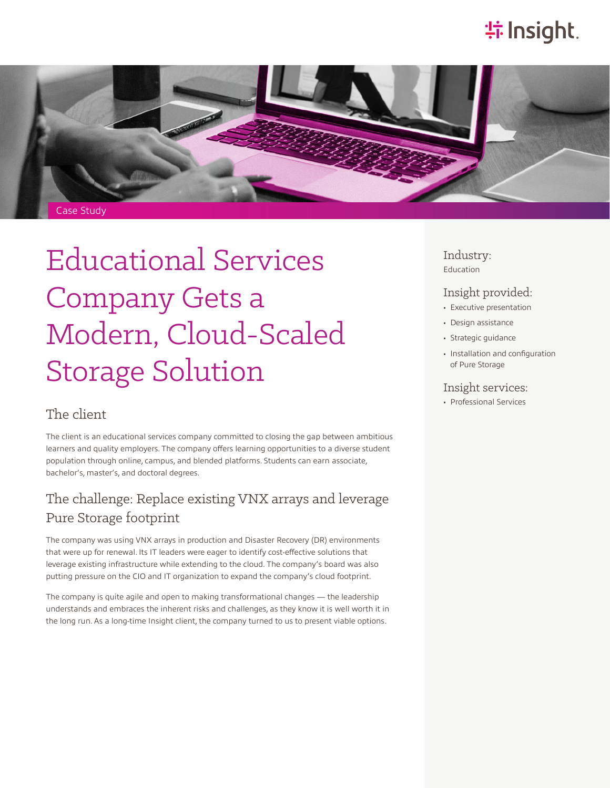# **特Insight**.



# Educational Services Company Gets a Modern, Cloud-Scaled Storage Solution

### The client

The client is an educational services company committed to closing the gap between ambitious learners and quality employers. The company offers learning opportunities to a diverse student population through online, campus, and blended platforms. Students can earn associate, bachelor's, master's, and doctoral degrees.

## The challenge: Replace existing VNX arrays and leverage Pure Storage footprint

The company was using VNX arrays in production and Disaster Recovery (DR) environments that were up for renewal. Its IT leaders were eager to identify cost-effective solutions that leverage existing infrastructure while extending to the cloud. The company's board was also putting pressure on the CIO and IT organization to expand the company's cloud footprint.

The company is quite agile and open to making transformational changes — the leadership understands and embraces the inherent risks and challenges, as they know it is well worth it in the long run. As a long-time Insight client, the company turned to us to present viable options.

Industry: Education

#### Insight provided:

- Executive presentation
- Design assistance
- Strategic guidance
- Installation and configuration of Pure Storage

#### Insight services:

• Professional Services